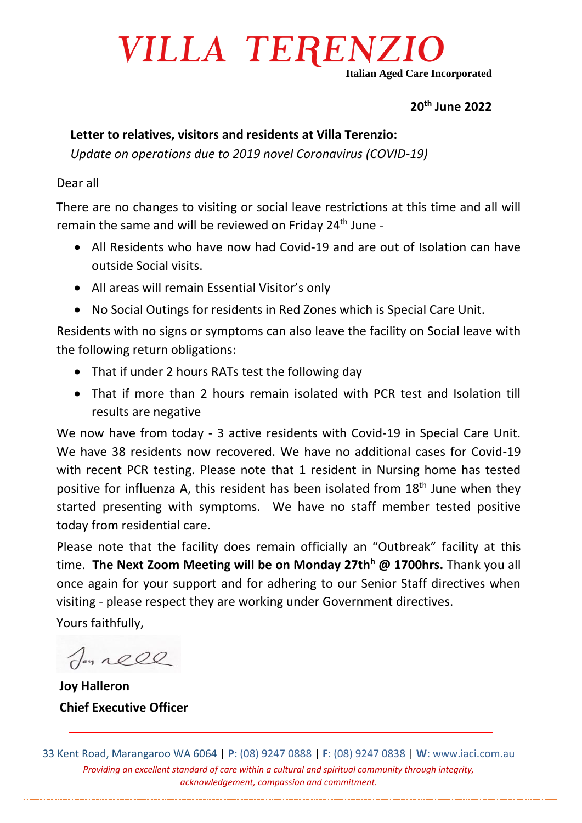## VILLA TERENZIO

**Italian Aged Care Incorporated**

#### **20th June 2022**

### **Letter to relatives, visitors and residents at Villa Terenzio:**

*Update on operations due to 2019 novel Coronavirus (COVID-19)* 

#### Dear all

There are no changes to visiting or social leave restrictions at this time and all will remain the same and will be reviewed on Friday  $24<sup>th</sup>$  June -

- All Residents who have now had Covid-19 and are out of Isolation can have outside Social visits.
- All areas will remain Essential Visitor's only
- No Social Outings for residents in Red Zones which is Special Care Unit.

Residents with no signs or symptoms can also leave the facility on Social leave with the following return obligations:

- That if under 2 hours RATs test the following day
- That if more than 2 hours remain isolated with PCR test and Isolation till results are negative

We now have from today - 3 active residents with Covid-19 in Special Care Unit. We have 38 residents now recovered. We have no additional cases for Covid-19 with recent PCR testing. Please note that 1 resident in Nursing home has tested positive for influenza A, this resident has been isolated from 18<sup>th</sup> June when they started presenting with symptoms. We have no staff member tested positive today from residential care.

Please note that the facility does remain officially an "Outbreak" facility at this time. **The Next Zoom Meeting will be on Monday 27th<sup>h</sup> @ 1700hrs.** Thank you all once again for your support and for adhering to our Senior Staff directives when visiting - please respect they are working under Government directives.

Yours faithfully,

Jon rell

**Joy Halleron Chief Executive Officer**

33 Kent Road, Marangaroo WA 6064 | **P**: (08) 9247 0888 | **F**: (08) 9247 0838 | **W**: www.iaci.com.au *Providing an excellent standard of care within a cultural and spiritual community through integrity, acknowledgement, compassion and commitment.*